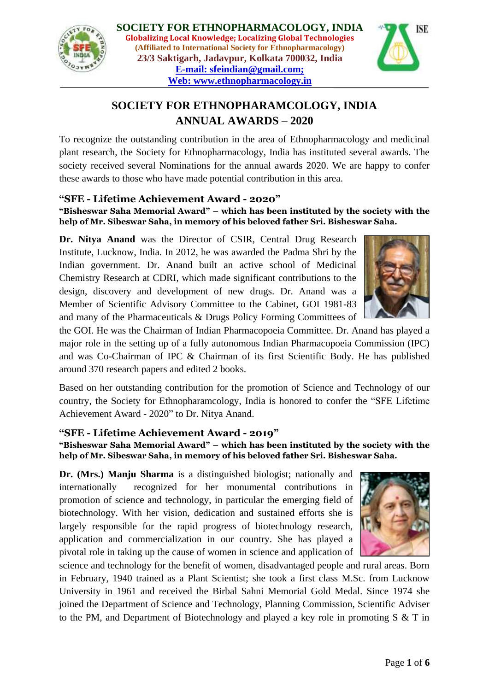



# **SOCIETY FOR ETHNOPHARAMCOLOGY, INDIA ANNUAL AWARDS – 2020**

To recognize the outstanding contribution in the area of Ethnopharmacology and medicinal plant research, the Society for Ethnopharmacology, India has instituted several awards. The society received several Nominations for the annual awards 2020. We are happy to confer these awards to those who have made potential contribution in this area.

## **"SFE - Lifetime Achievement Award - 2020"**

#### **"Bisheswar Saha Memorial Award" – which has been instituted by the society with the help of Mr. Sibeswar Saha, in memory of his beloved father Sri. Bisheswar Saha.**

**Dr. Nitya Anand** was the Director of CSIR, Central Drug Research Institute, Lucknow, India. In 2012, he was awarded the Padma Shri by the Indian government. Dr. Anand built an active school of Medicinal Chemistry Research at CDRI, which made significant contributions to the design, discovery and development of new drugs. Dr. Anand was a Member of Scientific Advisory Committee to the Cabinet, GOI 1981-83 and many of the Pharmaceuticals & Drugs Policy Forming Committees of



the GOI. He was the Chairman of Indian Pharmacopoeia Committee. Dr. Anand has played a major role in the setting up of a fully autonomous Indian Pharmacopoeia Commission (IPC) and was Co-Chairman of IPC & Chairman of its first Scientific Body. He has published around 370 research papers and edited 2 books.

Based on her outstanding contribution for the promotion of Science and Technology of our country, the Society for Ethnopharamcology, India is honored to confer the "SFE Lifetime" Achievement Award - 2020" to Dr. Nitya Anand.

## **"SFE - Lifetime Achievement Award - 2019"**

**"Bisheswar Saha Memorial Award" – which has been instituted by the society with the help of Mr. Sibeswar Saha, in memory of his beloved father Sri. Bisheswar Saha.** 

**Dr. (Mrs.) Manju Sharma** is a distinguished biologist; nationally and internationally recognized for her monumental contributions in promotion of science and technology, in particular the emerging field of biotechnology. With her vision, dedication and sustained efforts she is largely responsible for the rapid progress of biotechnology research, application and commercialization in our country. She has played a pivotal role in taking up the cause of women in science and application of



science and technology for the benefit of women, disadvantaged people and rural areas. Born in February, 1940 trained as a Plant Scientist; she took a first class M.Sc. from Lucknow University in 1961 and received the Birbal Sahni Memorial Gold Medal. Since 1974 she joined the Department of Science and Technology, Planning Commission, Scientific Adviser to the PM, and Department of Biotechnology and played a key role in promoting  $S \& T$  in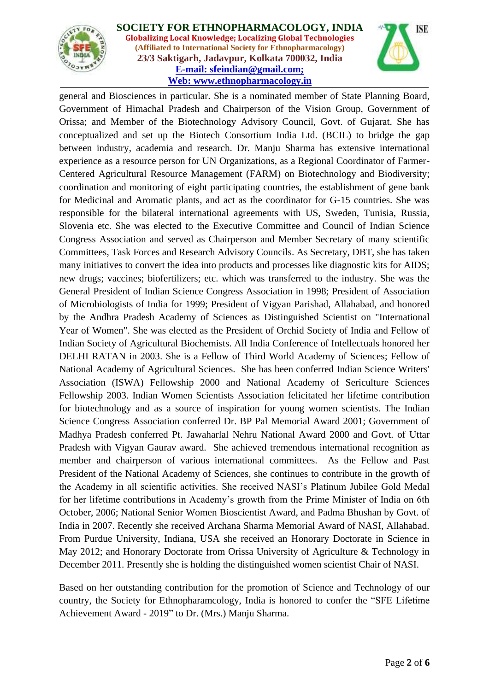



general and Biosciences in particular. She is a nominated member of State Planning Board, Government of Himachal Pradesh and Chairperson of the Vision Group, Government of Orissa; and Member of the Biotechnology Advisory Council, Govt. of Gujarat. She has conceptualized and set up the Biotech Consortium India Ltd. (BCIL) to bridge the gap between industry, academia and research. Dr. Manju Sharma has extensive international experience as a resource person for UN Organizations, as a Regional Coordinator of Farmer-Centered Agricultural Resource Management (FARM) on Biotechnology and Biodiversity; coordination and monitoring of eight participating countries, the establishment of gene bank for Medicinal and Aromatic plants, and act as the coordinator for G-15 countries. She was responsible for the bilateral international agreements with US, Sweden, Tunisia, Russia, Slovenia etc. She was elected to the Executive Committee and Council of Indian Science Congress Association and served as Chairperson and Member Secretary of many scientific Committees, Task Forces and Research Advisory Councils. As Secretary, DBT, she has taken many initiatives to convert the idea into products and processes like diagnostic kits for AIDS; new drugs; vaccines; biofertilizers; etc. which was transferred to the industry. She was the General President of Indian Science Congress Association in 1998; President of Association of Microbiologists of India for 1999; President of Vigyan Parishad, Allahabad, and honored by the Andhra Pradesh Academy of Sciences as Distinguished Scientist on "International Year of Women". She was elected as the President of Orchid Society of India and Fellow of Indian Society of Agricultural Biochemists. All India Conference of Intellectuals honored her DELHI RATAN in 2003. She is a Fellow of Third World Academy of Sciences; Fellow of National Academy of Agricultural Sciences. She has been conferred Indian Science Writers' Association (ISWA) Fellowship 2000 and National Academy of Sericulture Sciences Fellowship 2003. Indian Women Scientists Association felicitated her lifetime contribution for biotechnology and as a source of inspiration for young women scientists. The Indian Science Congress Association conferred Dr. BP Pal Memorial Award 2001; Government of Madhya Pradesh conferred Pt. Jawaharlal Nehru National Award 2000 and Govt. of Uttar Pradesh with Vigyan Gaurav award. She achieved tremendous international recognition as member and chairperson of various international committees. As the Fellow and Past President of the National Academy of Sciences, she continues to contribute in the growth of the Academy in all scientific activities. She received NASI's Platinum Jubilee Gold Medal for her lifetime contributions in Academy's growth from the Prime Minister of India on 6th October, 2006; National Senior Women Bioscientist Award, and Padma Bhushan by Govt. of India in 2007. Recently she received Archana Sharma Memorial Award of NASI, Allahabad. From Purdue University, Indiana, USA she received an Honorary Doctorate in Science in May 2012; and Honorary Doctorate from Orissa University of Agriculture & Technology in December 2011. Presently she is holding the distinguished women scientist Chair of NASI.

Based on her outstanding contribution for the promotion of Science and Technology of our country, the Society for Ethnopharamcology, India is honored to confer the "SFE Lifetime" Achievement Award - 2019" to Dr. (Mrs.) Manju Sharma.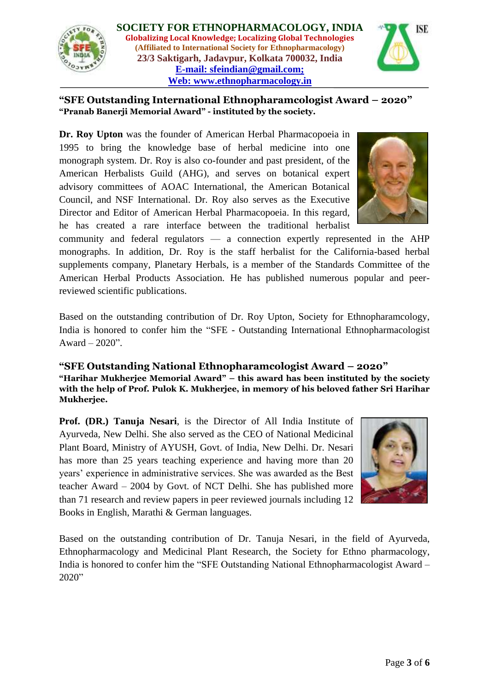



**"SFE Outstanding International Ethnopharamcologist Award – 2020" "Pranab Banerji Memorial Award" - instituted by the society.**

**Dr. Roy Upton** was the founder of American Herbal Pharmacopoeia in 1995 to bring the knowledge base of herbal medicine into one monograph system. Dr. Roy is also co-founder and past president, of the American Herbalists Guild (AHG), and serves on botanical expert advisory committees of AOAC International, the American Botanical Council, and NSF International. Dr. Roy also serves as the Executive Director and Editor of American Herbal Pharmacopoeia. In this regard, he has created a rare interface between the traditional herbalist



community and federal regulators — a connection expertly represented in the AHP monographs. In addition, Dr. Roy is the staff herbalist for the California-based herbal supplements company, Planetary Herbals, is a member of the Standards Committee of the American Herbal Products Association. He has published numerous popular and peerreviewed scientific publications.

Based on the outstanding contribution of Dr. Roy Upton, Society for Ethnopharamcology, India is honored to confer him the "SFE - Outstanding International Ethnopharmacologist Award –  $2020$ ".

## **"SFE Outstanding National Ethnopharamcologist Award – 2020"**

**"Harihar Mukherjee Memorial Award" – this award has been instituted by the society with the help of Prof. Pulok K. Mukherjee, in memory of his beloved father Sri Harihar Mukherjee.**

**Prof. (DR.) Tanuja Nesari**, is the Director of All India Institute of Ayurveda, New Delhi. She also served as the CEO of National Medicinal Plant Board, Ministry of AYUSH, Govt. of India, New Delhi. Dr. Nesari has more than 25 years teaching experience and having more than 20 years' experience in administrative services. She was awarded as the Best teacher Award – 2004 by Govt. of NCT Delhi. She has published more than 71 research and review papers in peer reviewed journals including 12 Books in English, Marathi & German languages.



Based on the outstanding contribution of Dr. Tanuja Nesari, in the field of Ayurveda, Ethnopharmacology and Medicinal Plant Research, the Society for Ethno pharmacology, India is honored to confer him the "SFE Outstanding National Ethnopharmacologist Award –  $2020"$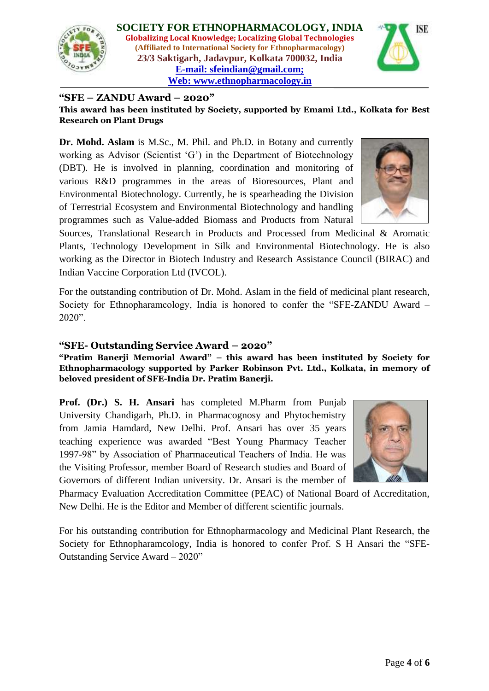



#### **"SFE – ZANDU Award – 2020"**

**This award has been instituted by Society, supported by Emami Ltd., Kolkata for Best Research on Plant Drugs**

**Dr. Mohd. Aslam** is M.Sc., M. Phil. and Ph.D. in Botany and currently working as Advisor (Scientist 'G') in the Department of Biotechnology (DBT). He is involved in planning, coordination and monitoring of various R&D programmes in the areas of Bioresources, Plant and Environmental Biotechnology. Currently, he is spearheading the Division of Terrestrial Ecosystem and Environmental Biotechnology and handling programmes such as Value-added Biomass and Products from Natural

Sources, Translational Research in Products and Processed from Medicinal & Aromatic Plants, Technology Development in Silk and Environmental Biotechnology. He is also working as the Director in Biotech Industry and Research Assistance Council (BIRAC) and Indian Vaccine Corporation Ltd (IVCOL).

For the outstanding contribution of Dr. Mohd. Aslam in the field of medicinal plant research, Society for Ethnopharamcology, India is honored to confer the "SFE-ZANDU Award –  $2020$ ".

#### **"SFE- Outstanding Service Award – 2020"**

**"Pratim Banerji Memorial Award" – this award has been instituted by Society for Ethnopharmacology supported by Parker Robinson Pvt. Ltd., Kolkata, in memory of beloved president of SFE-India Dr. Pratim Banerji.**

**Prof. (Dr.) S. H. Ansari** has completed M.Pharm from Punjab University Chandigarh, Ph.D. in Pharmacognosy and Phytochemistry from Jamia Hamdard, New Delhi. Prof. Ansari has over 35 years teaching experience was awarded "Best Young Pharmacy Teacher 1997-98" by Association of Pharmaceutical Teachers of India. He was the Visiting Professor, member Board of Research studies and Board of Governors of different Indian university. Dr. Ansari is the member of



Pharmacy Evaluation Accreditation Committee (PEAC) of National Board of Accreditation, New Delhi. He is the Editor and Member of different scientific journals.

For his outstanding contribution for Ethnopharmacology and Medicinal Plant Research, the Society for Ethnopharamcology, India is honored to confer Prof. S H Ansari the "SFE-Outstanding Service Award – 2020"

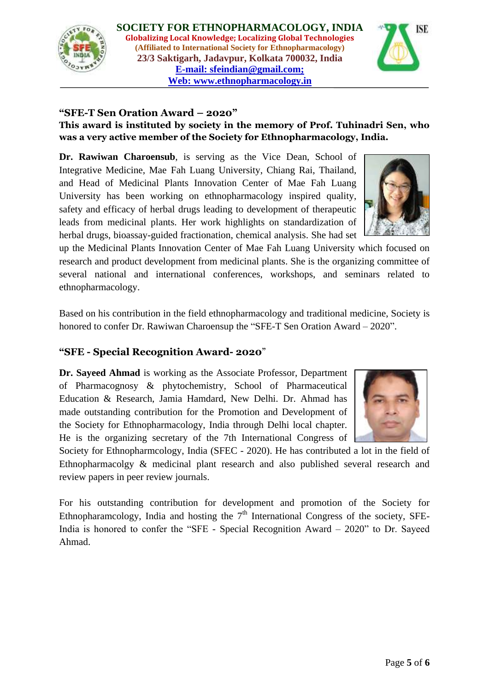



## **"SFE-T Sen Oration Award – 2020"**

## **This award is instituted by society in the memory of Prof. Tuhinadri Sen, who was a very active member of the Society for Ethnopharmacology, India.**

**Dr. Rawiwan Charoensub**, is serving as the Vice Dean, School of Integrative Medicine, Mae Fah Luang University, Chiang Rai, Thailand, and Head of Medicinal Plants Innovation Center of Mae Fah Luang University has been working on ethnopharmacology inspired quality, safety and efficacy of herbal drugs leading to development of therapeutic leads from medicinal plants. Her work highlights on standardization of herbal drugs, bioassay-guided fractionation, chemical analysis. She had set

up the Medicinal Plants Innovation Center of Mae Fah Luang University which focused on research and product development from medicinal plants. She is the organizing committee of several national and international conferences, workshops, and seminars related to ethnopharmacology.

Based on his contribution in the field ethnopharmacology and traditional medicine, Society is honored to confer Dr. Rawiwan Charoensup the "SFE-T Sen Oration Award – 2020".

## **"SFE - Special Recognition Award- 2020**"

**Dr. Sayeed Ahmad** is working as the Associate Professor, Department of Pharmacognosy & phytochemistry, School of Pharmaceutical Education & Research, Jamia Hamdard, New Delhi. Dr. Ahmad has made outstanding contribution for the Promotion and Development of the Society for Ethnopharmacology, India through Delhi local chapter. He is the organizing secretary of the 7th International Congress of



For his outstanding contribution for development and promotion of the Society for Ethnopharamcology, India and hosting the  $7<sup>th</sup>$  International Congress of the society, SFE-India is honored to confer the "SFE - Special Recognition Award  $-2020$ " to Dr. Sayeed Ahmad.